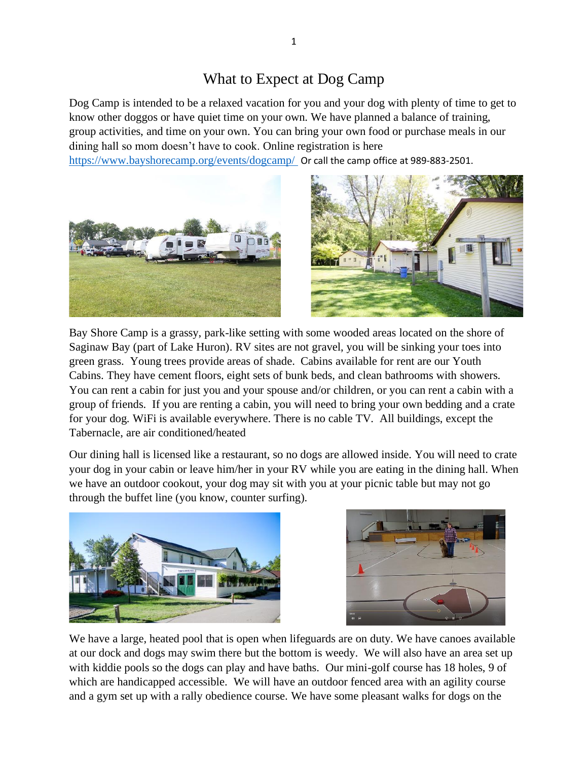## What to Expect at Dog Camp

Dog Camp is intended to be a relaxed vacation for you and your dog with plenty of time to get to know other doggos or have quiet time on your own. We have planned a balance of training, group activities, and time on your own. You can bring your own food or purchase meals in our dining hall so mom doesn't have to cook. Online registration is here

<https://www.bayshorecamp.org/events/dogcamp/> Or call the camp office at 989-883-2501.



Bay Shore Camp is a grassy, park-like setting with some wooded areas located on the shore of Saginaw Bay (part of Lake Huron). RV sites are not gravel, you will be sinking your toes into green grass. Young trees provide areas of shade. Cabins available for rent are our Youth Cabins. They have cement floors, eight sets of bunk beds, and clean bathrooms with showers. You can rent a cabin for just you and your spouse and/or children, or you can rent a cabin with a group of friends. If you are renting a cabin, you will need to bring your own bedding and a crate for your dog. WiFi is available everywhere. There is no cable TV. All buildings, except the Tabernacle, are air conditioned/heated

Our dining hall is licensed like a restaurant, so no dogs are allowed inside. You will need to crate your dog in your cabin or leave him/her in your RV while you are eating in the dining hall. When we have an outdoor cookout, your dog may sit with you at your picnic table but may not go through the buffet line (you know, counter surfing).





We have a large, heated pool that is open when lifeguards are on duty. We have canoes available at our dock and dogs may swim there but the bottom is weedy. We will also have an area set up with kiddie pools so the dogs can play and have baths. Our mini-golf course has 18 holes, 9 of which are handicapped accessible. We will have an outdoor fenced area with an agility course and a gym set up with a rally obedience course. We have some pleasant walks for dogs on the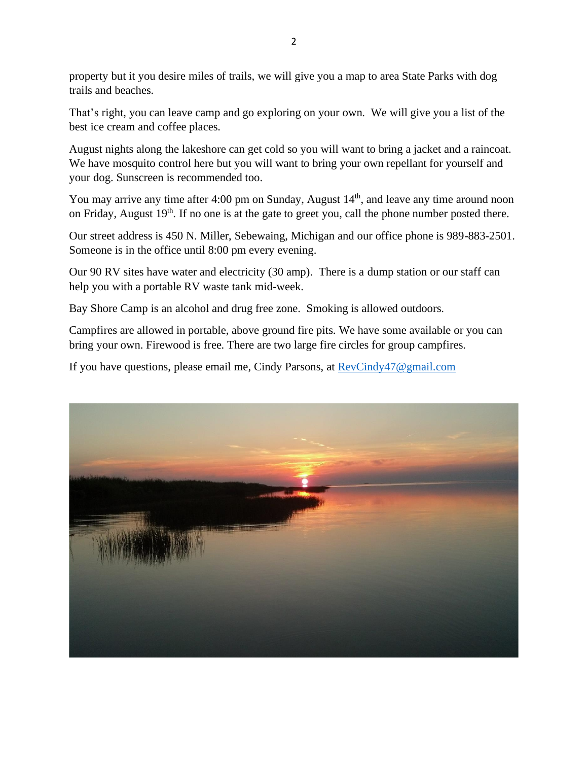property but it you desire miles of trails, we will give you a map to area State Parks with dog trails and beaches.

That's right, you can leave camp and go exploring on your own. We will give you a list of the best ice cream and coffee places.

August nights along the lakeshore can get cold so you will want to bring a jacket and a raincoat. We have mosquito control here but you will want to bring your own repellant for yourself and your dog. Sunscreen is recommended too.

You may arrive any time after 4:00 pm on Sunday, August  $14<sup>th</sup>$ , and leave any time around noon on Friday, August 19<sup>th</sup>. If no one is at the gate to greet you, call the phone number posted there.

Our street address is 450 N. Miller, Sebewaing, Michigan and our office phone is 989-883-2501. Someone is in the office until 8:00 pm every evening.

Our 90 RV sites have water and electricity (30 amp). There is a dump station or our staff can help you with a portable RV waste tank mid-week.

Bay Shore Camp is an alcohol and drug free zone. Smoking is allowed outdoors.

Campfires are allowed in portable, above ground fire pits. We have some available or you can bring your own. Firewood is free. There are two large fire circles for group campfires.

If you have questions, please email me, Cindy Parsons, at [RevCindy47@gmail.com](mailto:RevCindy47@gmail.com)

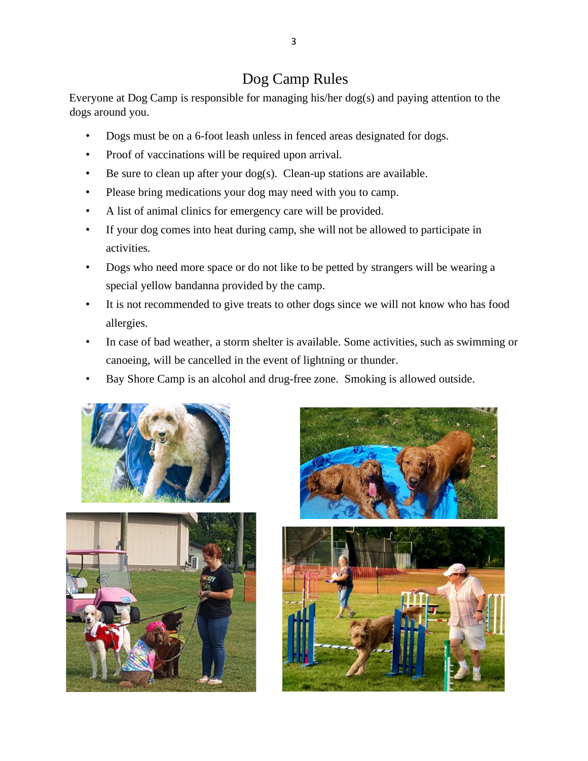# Dog Camp Rules

Everyone at Dog Camp is responsible for managing his/her dog(s) and paying attention to the dogs around you.

- Dogs must be on a 6-foot leash unless in fenced areas designated for dogs.
- Proof of vaccinations will be required upon arrival.
- Be sure to clean up after your dog(s). Clean-up stations are available.
- Please bring medications your dog may need with you to camp.
- A list of animal clinics for emergency care will be provided.
- If your dog comes into heat during camp, she will not be allowed to participate in activities.
- Dogs who need more space or do not like to be petted by strangers will be wearing a special yellow bandanna provided by the camp.
- It is not recommended to give treats to other dogs since we will not know who has food allergies.
- In case of bad weather, a storm shelter is available. Some activities, such as swimming or canoeing, will be cancelled in the event of lightning or thunder.
- Bay Shore Camp is an alcohol and drug-free zone. Smoking is allowed outside.